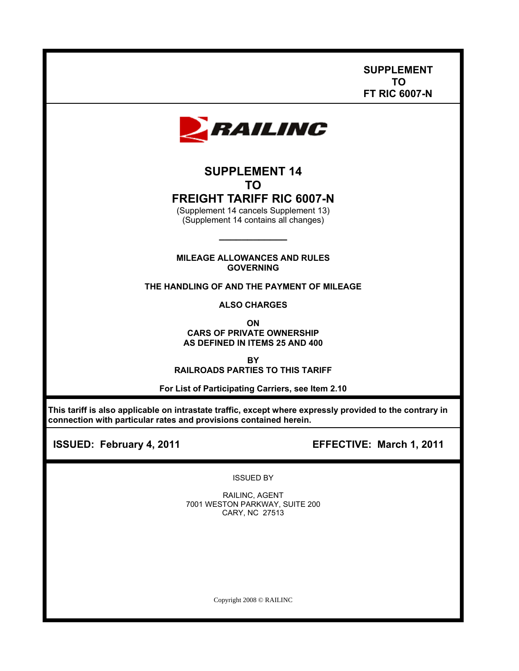**SUPPLEMENT TO FT RIC 6007-N** 



# **SUPPLEMENT 14 TO FREIGHT TARIFF RIC 6007-N**

(Supplement 14 cancels Supplement 13) (Supplement 14 contains all changes)

**\_\_\_\_\_\_\_\_\_\_\_\_** 

**MILEAGE ALLOWANCES AND RULES GOVERNING** 

**THE HANDLING OF AND THE PAYMENT OF MILEAGE** 

**ALSO CHARGES** 

**ON CARS OF PRIVATE OWNERSHIP AS DEFINED IN ITEMS 25 AND 400** 

**BY RAILROADS PARTIES TO THIS TARIFF** 

**For List of Participating Carriers, see Item 2.10** 

**This tariff is also applicable on intrastate traffic, except where expressly provided to the contrary in connection with particular rates and provisions contained herein.** 

 **ISSUED: February 4, 2011 EFFECTIVE: March 1, 2011** 

ISSUED BY

RAILINC, AGENT 7001 WESTON PARKWAY, SUITE 200 CARY, NC 27513

Copyright 2008 © RAILINC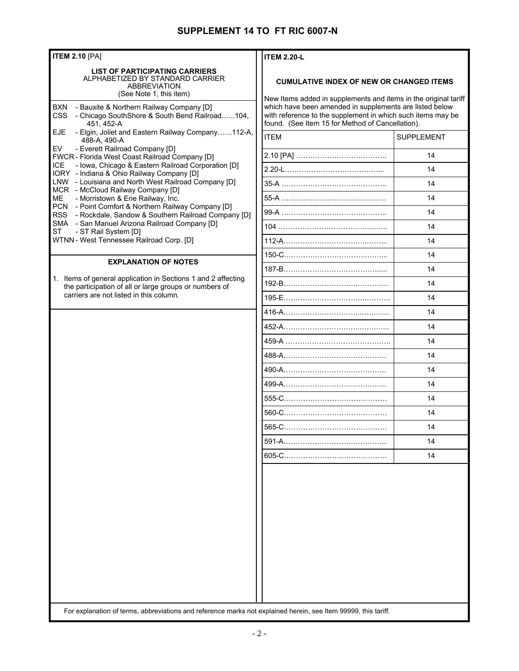#### **ITEM 2.10** [PA] **LIST OF PARTICIPATING CARRIERS**  ALPHABETIZED BY STANDARD CARRIER ABBREVIATION (See Note 1, this item) BXN - Bauxite & Northern Railway Company [D]<br>CSS - Chicago SouthShore & South Bend Railro - Chicago SouthShore & South Bend Railroad......104, 451, 452-A<br>EJE - Elgin, Joliet a - Elgin, Joliet and Eastern Railway Company……112-A, 488-A, 490-A<br>EV - Everett Railroa - Everett Railroad Company [D] FWCR - Florida West Coast Railroad Company [D] ICE - Iowa, Chicago & Eastern Railroad Corporation [D] IORY - Indiana & Ohio Railway Company [D] LNW - Louisiana and North West Railroad Company [D] MCR - McCloud Railway Company [D] ME - Morristown & Erie Railway, Inc. PCN - Point Comfort & Northern Railway Company [D] RSS - Rockdale, Sandow & Southern Railroad Company [D] SMA - San Manuel Arizona Railroad Company [D] ST - ST Rail System [D] WTNN - West Tennessee Railroad Corp. [D] **EXPLANATION OF NOTES**  1. Items of general application in Sections 1 and 2 affecting the participation of all or large groups or numbers of carriers are not listed in this column. **ITEM 2.20-L CUMULATIVE INDEX OF NEW OR CHANGED ITEMS**  New Items added in supplements and items in the original tariff which have been amended in supplements are listed below with reference to the supplement in which such items may be found. (See Item 15 for Method of Cancellation). ITEM SUPPLEMENT 2.10 [PA] ……………………………….. 14 2.20-L…………………………………... 14 99-A …………………………………….. 14 104 …………………………………..….. 14 112-A……………………………..……... 14 187-B…………………………………..... 14 192-B………………………….…………. 14 195-E……………………………..………. 14 452-A…………………………..…….…... 14 459-A …………………………………….. 14 488-A……………………………………. 14 490-A……………………………………. 14 591-A……………………………………. 14 605-C……………………………………. 14 35-A …………………………………….. 14 416-A…………………………..…….…... 14 499-A……………………………………. 14 55-A …………………………………….. 14 150-C……………………………..……... 14 555-C……………………………………. 14 565-C……………………………………. 14 560-C……………………………………. 14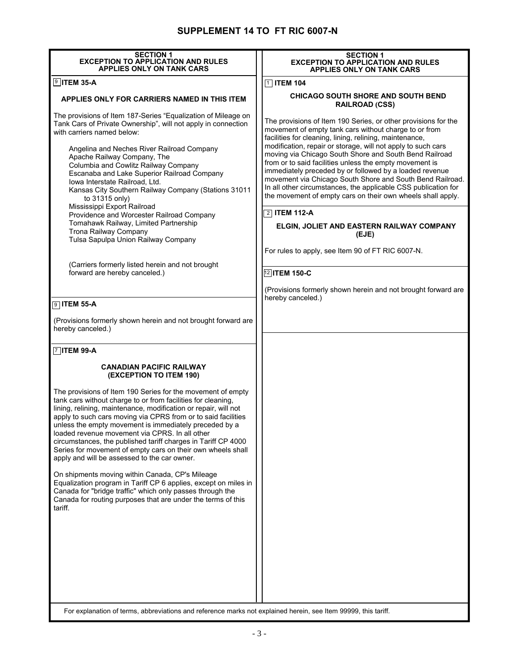| <b>SECTION 1</b><br><b>EXCEPTION TO APPLICATION AND RULES</b><br><b>APPLIES ONLY ON TANK CARS</b>                                                                                                                                                                                                                                                                                                                                                                                                                                                           | <b>SECTION 1</b><br><b>EXCEPTION TO APPLICATION AND RULES</b><br><b>APPLIES ONLY ON TANK CARS</b>                                                                                                                                                                                                                                                                                                                                                                                                                                                                                                                                                          |
|-------------------------------------------------------------------------------------------------------------------------------------------------------------------------------------------------------------------------------------------------------------------------------------------------------------------------------------------------------------------------------------------------------------------------------------------------------------------------------------------------------------------------------------------------------------|------------------------------------------------------------------------------------------------------------------------------------------------------------------------------------------------------------------------------------------------------------------------------------------------------------------------------------------------------------------------------------------------------------------------------------------------------------------------------------------------------------------------------------------------------------------------------------------------------------------------------------------------------------|
| $9$ ITEM 35-A                                                                                                                                                                                                                                                                                                                                                                                                                                                                                                                                               | $\boxed{1}$ ITEM 104                                                                                                                                                                                                                                                                                                                                                                                                                                                                                                                                                                                                                                       |
| APPLIES ONLY FOR CARRIERS NAMED IN THIS ITEM                                                                                                                                                                                                                                                                                                                                                                                                                                                                                                                | <b>CHICAGO SOUTH SHORE AND SOUTH BEND</b><br><b>RAILROAD (CSS)</b>                                                                                                                                                                                                                                                                                                                                                                                                                                                                                                                                                                                         |
| The provisions of Item 187-Series "Equalization of Mileage on<br>Tank Cars of Private Ownership", will not apply in connection<br>with carriers named below.<br>Angelina and Neches River Railroad Company<br>Apache Railway Company, The<br>Columbia and Cowlitz Railway Company<br>Escanaba and Lake Superior Railroad Company<br>Iowa Interstate Railroad, Ltd.<br>Kansas City Southern Railway Company (Stations 31011<br>to 31315 only)<br>Mississippi Export Railroad                                                                                 | The provisions of Item 190 Series, or other provisions for the<br>movement of empty tank cars without charge to or from<br>facilities for cleaning, lining, relining, maintenance,<br>modification, repair or storage, will not apply to such cars<br>moving via Chicago South Shore and South Bend Railroad<br>from or to said facilities unless the empty movement is<br>immediately preceded by or followed by a loaded revenue<br>movement via Chicago South Shore and South Bend Railroad.<br>In all other circumstances, the applicable CSS publication for<br>the movement of empty cars on their own wheels shall apply.<br>$\boxed{2}$ ITEM 112-A |
| Providence and Worcester Railroad Company<br>Tomahawk Railway, Limited Partnership                                                                                                                                                                                                                                                                                                                                                                                                                                                                          |                                                                                                                                                                                                                                                                                                                                                                                                                                                                                                                                                                                                                                                            |
| Trona Railway Company                                                                                                                                                                                                                                                                                                                                                                                                                                                                                                                                       | ELGIN, JOLIET AND EASTERN RAILWAY COMPANY<br>(EJE)                                                                                                                                                                                                                                                                                                                                                                                                                                                                                                                                                                                                         |
| Tulsa Sapulpa Union Railway Company                                                                                                                                                                                                                                                                                                                                                                                                                                                                                                                         |                                                                                                                                                                                                                                                                                                                                                                                                                                                                                                                                                                                                                                                            |
|                                                                                                                                                                                                                                                                                                                                                                                                                                                                                                                                                             | For rules to apply, see Item 90 of FT RIC 6007-N.                                                                                                                                                                                                                                                                                                                                                                                                                                                                                                                                                                                                          |
| (Carriers formerly listed herein and not brought<br>forward are hereby canceled.)                                                                                                                                                                                                                                                                                                                                                                                                                                                                           | 12 ITEM 150-C                                                                                                                                                                                                                                                                                                                                                                                                                                                                                                                                                                                                                                              |
|                                                                                                                                                                                                                                                                                                                                                                                                                                                                                                                                                             | (Provisions formerly shown herein and not brought forward are                                                                                                                                                                                                                                                                                                                                                                                                                                                                                                                                                                                              |
| $9$ ITEM 55-A                                                                                                                                                                                                                                                                                                                                                                                                                                                                                                                                               | hereby canceled.)                                                                                                                                                                                                                                                                                                                                                                                                                                                                                                                                                                                                                                          |
| (Provisions formerly shown herein and not brought forward are<br>hereby canceled.)                                                                                                                                                                                                                                                                                                                                                                                                                                                                          |                                                                                                                                                                                                                                                                                                                                                                                                                                                                                                                                                                                                                                                            |
| $\boxed{7}$ ITEM 99-A                                                                                                                                                                                                                                                                                                                                                                                                                                                                                                                                       |                                                                                                                                                                                                                                                                                                                                                                                                                                                                                                                                                                                                                                                            |
| <b>CANADIAN PACIFIC RAILWAY</b><br>(EXCEPTION TO ITEM 190)                                                                                                                                                                                                                                                                                                                                                                                                                                                                                                  |                                                                                                                                                                                                                                                                                                                                                                                                                                                                                                                                                                                                                                                            |
| The provisions of Item 190 Series for the movement of empty<br>tank cars without charge to or from facilities for cleaning,<br>lining, relining, maintenance, modification or repair, will not<br>apply to such cars moving via CPRS from or to said facilities<br>unless the empty movement is immediately preceded by a<br>loaded revenue movement via CPRS. In all other<br>circumstances, the published tariff charges in Tariff CP 4000<br>Series for movement of empty cars on their own wheels shall<br>apply and will be assessed to the car owner. |                                                                                                                                                                                                                                                                                                                                                                                                                                                                                                                                                                                                                                                            |
| On shipments moving within Canada, CP's Mileage<br>Equalization program in Tariff CP 6 applies, except on miles in<br>Canada for "bridge traffic" which only passes through the<br>Canada for routing purposes that are under the terms of this<br>tariff.                                                                                                                                                                                                                                                                                                  |                                                                                                                                                                                                                                                                                                                                                                                                                                                                                                                                                                                                                                                            |
|                                                                                                                                                                                                                                                                                                                                                                                                                                                                                                                                                             |                                                                                                                                                                                                                                                                                                                                                                                                                                                                                                                                                                                                                                                            |
| For explanation of terms, abbreviations and reference marks not explained herein, see Item 99999, this tariff.                                                                                                                                                                                                                                                                                                                                                                                                                                              |                                                                                                                                                                                                                                                                                                                                                                                                                                                                                                                                                                                                                                                            |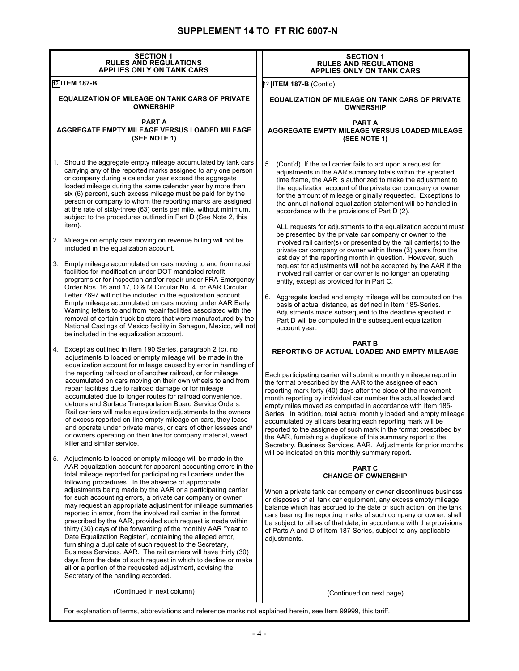| <b>SECTION 1</b><br><b>RULES AND REGULATIONS</b><br><b>APPLIES ONLY ON TANK CARS</b>                                                                                                                                                                                                                                                                                                                                                                                                                                                                                                                                                                                                                                                                                                                                                                                                                                                                                                                                            | <b>SECTION 1</b><br><b>RULES AND REGULATIONS</b><br><b>APPLIES ONLY ON TANK CARS</b>                                                                                                                                                                                                                                                                                                                                                                                                                                                                                                                                                                                                                                                            |  |
|---------------------------------------------------------------------------------------------------------------------------------------------------------------------------------------------------------------------------------------------------------------------------------------------------------------------------------------------------------------------------------------------------------------------------------------------------------------------------------------------------------------------------------------------------------------------------------------------------------------------------------------------------------------------------------------------------------------------------------------------------------------------------------------------------------------------------------------------------------------------------------------------------------------------------------------------------------------------------------------------------------------------------------|-------------------------------------------------------------------------------------------------------------------------------------------------------------------------------------------------------------------------------------------------------------------------------------------------------------------------------------------------------------------------------------------------------------------------------------------------------------------------------------------------------------------------------------------------------------------------------------------------------------------------------------------------------------------------------------------------------------------------------------------------|--|
| $\sqrt{12}$ ITEM 187-B                                                                                                                                                                                                                                                                                                                                                                                                                                                                                                                                                                                                                                                                                                                                                                                                                                                                                                                                                                                                          | $12$ ITEM 187-B (Cont'd)                                                                                                                                                                                                                                                                                                                                                                                                                                                                                                                                                                                                                                                                                                                        |  |
| <b>EQUALIZATION OF MILEAGE ON TANK CARS OF PRIVATE</b><br><b>OWNERSHIP</b>                                                                                                                                                                                                                                                                                                                                                                                                                                                                                                                                                                                                                                                                                                                                                                                                                                                                                                                                                      | <b>EQUALIZATION OF MILEAGE ON TANK CARS OF PRIVATE</b><br><b>OWNERSHIP</b>                                                                                                                                                                                                                                                                                                                                                                                                                                                                                                                                                                                                                                                                      |  |
| <b>PART A</b><br><b>AGGREGATE EMPTY MILEAGE VERSUS LOADED MILEAGE</b><br>(SEE NOTE 1)                                                                                                                                                                                                                                                                                                                                                                                                                                                                                                                                                                                                                                                                                                                                                                                                                                                                                                                                           | <b>PART A</b><br><b>AGGREGATE EMPTY MILEAGE VERSUS LOADED MILEAGE</b><br>(SEE NOTE 1)                                                                                                                                                                                                                                                                                                                                                                                                                                                                                                                                                                                                                                                           |  |
| 1. Should the aggregate empty mileage accumulated by tank cars<br>carrying any of the reported marks assigned to any one person<br>or company during a calendar year exceed the aggregate<br>loaded mileage during the same calendar year by more than<br>six (6) percent, such excess mileage must be paid for by the<br>person or company to whom the reporting marks are assigned<br>at the rate of sixty-three (63) cents per mile, without minimum,<br>subject to the procedures outlined in Part D (See Note 2, this<br>item).                                                                                                                                                                                                                                                                                                                                                                                                                                                                                            | 5. (Cont'd) If the rail carrier fails to act upon a request for<br>adjustments in the AAR summary totals within the specified<br>time frame, the AAR is authorized to make the adjustment to<br>the equalization account of the private car company or owner<br>for the amount of mileage originally requested. Exceptions to<br>the annual national equalization statement will be handled in<br>accordance with the provisions of Part D (2).<br>ALL requests for adjustments to the equalization account must                                                                                                                                                                                                                                |  |
| 2. Mileage on empty cars moving on revenue billing will not be<br>included in the equalization account.<br>3. Empty mileage accumulated on cars moving to and from repair<br>facilities for modification under DOT mandated retrofit                                                                                                                                                                                                                                                                                                                                                                                                                                                                                                                                                                                                                                                                                                                                                                                            | be presented by the private car company or owner to the<br>involved rail carrier(s) or presented by the rail carrier(s) to the<br>private car company or owner within three (3) years from the<br>last day of the reporting month in question. However, such<br>request for adjustments will not be accepted by the AAR if the<br>involved rail carrier or car owner is no longer an operating                                                                                                                                                                                                                                                                                                                                                  |  |
| programs or for inspection and/or repair under FRA Emergency<br>Order Nos. 16 and 17, O & M Circular No. 4, or AAR Circular<br>Letter 7697 will not be included in the equalization account.<br>Empty mileage accumulated on cars moving under AAR Early<br>Warning letters to and from repair facilities associated with the<br>removal of certain truck bolsters that were manufactured by the<br>National Castings of Mexico facility in Sahagun, Mexico, will not<br>be included in the equalization account.                                                                                                                                                                                                                                                                                                                                                                                                                                                                                                               | entity, except as provided for in Part C.<br>6. Aggregate loaded and empty mileage will be computed on the<br>basis of actual distance, as defined in Item 185-Series.<br>Adjustments made subsequent to the deadline specified in<br>Part D will be computed in the subsequent equalization<br>account year.                                                                                                                                                                                                                                                                                                                                                                                                                                   |  |
| Except as outlined in Item 190 Series, paragraph 2 (c), no<br>4.<br>adjustments to loaded or empty mileage will be made in the<br>equalization account for mileage caused by error in handling of<br>the reporting railroad or of another railroad, or for mileage<br>accumulated on cars moving on their own wheels to and from<br>repair facilities due to railroad damage or for mileage<br>accumulated due to longer routes for railroad convenience,<br>detours and Surface Transportation Board Service Orders.<br>Rail carriers will make equalization adjustments to the owners<br>of excess reported on-line empty mileage on cars, they lease<br>and operate under private marks, or cars of other lessees and/<br>or owners operating on their line for company material, weed<br>killer and similar service.                                                                                                                                                                                                        | <b>PART B</b><br>REPORTING OF ACTUAL LOADED AND EMPTY MILEAGE<br>Each participating carrier will submit a monthly mileage report in<br>the format prescribed by the AAR to the assignee of each<br>reporting mark forty (40) days after the close of the movement<br>month reporting by individual car number the actual loaded and<br>empty miles moved as computed in accordance with Item 185-<br>Series. In addition, total actual monthly loaded and empty mileage<br>accumulated by all cars bearing each reporting mark will be<br>reported to the assignee of such mark in the format prescribed by<br>the AAR, furnishing a duplicate of this summary report to the<br>Secretary, Business Services, AAR. Adjustments for prior months |  |
| 5. Adjustments to loaded or empty mileage will be made in the<br>AAR equalization account for apparent accounting errors in the<br>total mileage reported for participating rail carriers under the<br>following procedures. In the absence of appropriate<br>adjustments being made by the AAR or a participating carrier<br>for such accounting errors, a private car company or owner<br>may request an appropriate adjustment for mileage summaries<br>reported in error, from the involved rail carrier in the format<br>prescribed by the AAR, provided such request is made within<br>thirty (30) days of the forwarding of the monthly AAR "Year to<br>Date Equalization Register", containing the alleged error,<br>furnishing a duplicate of such request to the Secretary,<br>Business Services, AAR. The rail carriers will have thirty (30)<br>days from the date of such request in which to decline or make<br>all or a portion of the requested adjustment, advising the<br>Secretary of the handling accorded. | will be indicated on this monthly summary report.<br><b>PART C</b><br><b>CHANGE OF OWNERSHIP</b><br>When a private tank car company or owner discontinues business<br>or disposes of all tank car equipment, any excess empty mileage<br>balance which has accrued to the date of such action, on the tank<br>cars bearing the reporting marks of such company or owner, shall<br>be subject to bill as of that date, in accordance with the provisions<br>of Parts A and D of Item 187-Series, subject to any applicable<br>adjustments.                                                                                                                                                                                                       |  |
| (Continued in next column)                                                                                                                                                                                                                                                                                                                                                                                                                                                                                                                                                                                                                                                                                                                                                                                                                                                                                                                                                                                                      | (Continued on next page)                                                                                                                                                                                                                                                                                                                                                                                                                                                                                                                                                                                                                                                                                                                        |  |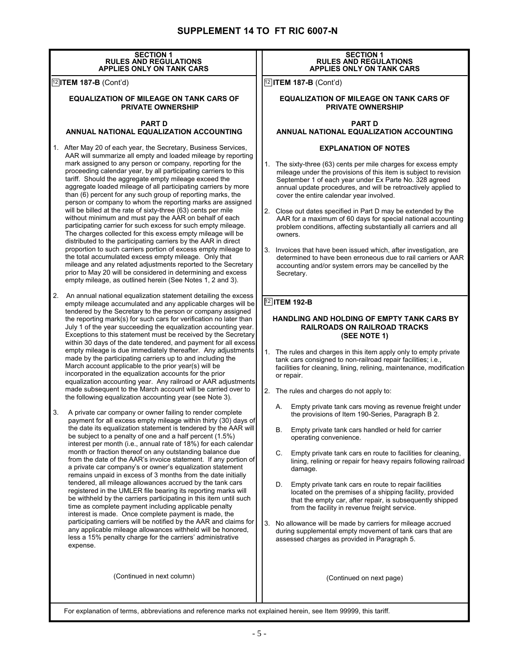| <b>SECTION 1</b><br><b>RULES AND REGULATIONS</b><br><b>APPLIES ONLY ON TANK CARS</b>                                                                                                                                                                                                                                                                                                                                                                                                                                                                                                                                                                                                                                                                                                                                                                                                                                                                                                                                                                                                                                               | <b>SECTION 1</b><br><b>RULES AND REGULATIONS</b><br><b>APPLIES ONLY ON TANK CARS</b>                                                                                                                                                                                                                                                                                                                                                                                                                                                                                                                                                                                                                                 |  |  |  |
|------------------------------------------------------------------------------------------------------------------------------------------------------------------------------------------------------------------------------------------------------------------------------------------------------------------------------------------------------------------------------------------------------------------------------------------------------------------------------------------------------------------------------------------------------------------------------------------------------------------------------------------------------------------------------------------------------------------------------------------------------------------------------------------------------------------------------------------------------------------------------------------------------------------------------------------------------------------------------------------------------------------------------------------------------------------------------------------------------------------------------------|----------------------------------------------------------------------------------------------------------------------------------------------------------------------------------------------------------------------------------------------------------------------------------------------------------------------------------------------------------------------------------------------------------------------------------------------------------------------------------------------------------------------------------------------------------------------------------------------------------------------------------------------------------------------------------------------------------------------|--|--|--|
| $12$ <b>ITEM 187-B</b> (Cont'd)                                                                                                                                                                                                                                                                                                                                                                                                                                                                                                                                                                                                                                                                                                                                                                                                                                                                                                                                                                                                                                                                                                    | $12$ ITEM 187-B (Cont'd)                                                                                                                                                                                                                                                                                                                                                                                                                                                                                                                                                                                                                                                                                             |  |  |  |
| <b>EQUALIZATION OF MILEAGE ON TANK CARS OF</b><br><b>PRIVATE OWNERSHIP</b>                                                                                                                                                                                                                                                                                                                                                                                                                                                                                                                                                                                                                                                                                                                                                                                                                                                                                                                                                                                                                                                         | <b>EQUALIZATION OF MILEAGE ON TANK CARS OF</b><br><b>PRIVATE OWNERSHIP</b>                                                                                                                                                                                                                                                                                                                                                                                                                                                                                                                                                                                                                                           |  |  |  |
| <b>PART D</b><br>ANNUAL NATIONAL EQUALIZATION ACCOUNTING                                                                                                                                                                                                                                                                                                                                                                                                                                                                                                                                                                                                                                                                                                                                                                                                                                                                                                                                                                                                                                                                           | PART D<br>ANNUAL NATIONAL EQUALIZATION ACCOUNTING                                                                                                                                                                                                                                                                                                                                                                                                                                                                                                                                                                                                                                                                    |  |  |  |
| After May 20 of each year, the Secretary, Business Services,<br>1.                                                                                                                                                                                                                                                                                                                                                                                                                                                                                                                                                                                                                                                                                                                                                                                                                                                                                                                                                                                                                                                                 | <b>EXPLANATION OF NOTES</b>                                                                                                                                                                                                                                                                                                                                                                                                                                                                                                                                                                                                                                                                                          |  |  |  |
| AAR will summarize all empty and loaded mileage by reporting<br>mark assigned to any person or company, reporting for the<br>proceeding calendar year, by all participating carriers to this<br>tariff. Should the aggregate empty mileage exceed the<br>aggregate loaded mileage of all participating carriers by more<br>than (6) percent for any such group of reporting marks, the<br>person or company to whom the reporting marks are assigned                                                                                                                                                                                                                                                                                                                                                                                                                                                                                                                                                                                                                                                                               | 1. The sixty-three (63) cents per mile charges for excess empty<br>mileage under the provisions of this item is subject to revision<br>September 1 of each year under Ex Parte No. 328 agreed<br>annual update procedures, and will be retroactively applied to<br>cover the entire calendar year involved.                                                                                                                                                                                                                                                                                                                                                                                                          |  |  |  |
| will be billed at the rate of sixty-three (63) cents per mile<br>without minimum and must pay the AAR on behalf of each<br>participating carrier for such excess for such empty mileage.<br>The charges collected for this excess empty mileage will be<br>distributed to the participating carriers by the AAR in direct                                                                                                                                                                                                                                                                                                                                                                                                                                                                                                                                                                                                                                                                                                                                                                                                          | 2.<br>Close out dates specified in Part D may be extended by the<br>AAR for a maximum of 60 days for special national accounting<br>problem conditions, affecting substantially all carriers and all<br>owners.                                                                                                                                                                                                                                                                                                                                                                                                                                                                                                      |  |  |  |
| proportion to such carriers portion of excess empty mileage to<br>the total accumulated excess empty mileage. Only that<br>mileage and any related adjustments reported to the Secretary<br>prior to May 20 will be considered in determining and excess<br>empty mileage, as outlined herein (See Notes 1, 2 and 3).                                                                                                                                                                                                                                                                                                                                                                                                                                                                                                                                                                                                                                                                                                                                                                                                              | Invoices that have been issued which, after investigation, are<br>3.<br>determined to have been erroneous due to rail carriers or AAR<br>accounting and/or system errors may be cancelled by the<br>Secretary.                                                                                                                                                                                                                                                                                                                                                                                                                                                                                                       |  |  |  |
| An annual national equalization statement detailing the excess<br>2.<br>empty mileage accumulated and any applicable charges will be<br>tendered by the Secretary to the person or company assigned<br>the reporting mark(s) for such cars for verification no later than<br>July 1 of the year succeeding the equalization accounting year.<br>Exceptions to this statement must be received by the Secretary<br>within 30 days of the date tendered, and payment for all excess<br>empty mileage is due immediately thereafter. Any adjustments<br>made by the participating carriers up to and including the<br>March account applicable to the prior year(s) will be<br>incorporated in the equalization accounts for the prior<br>equalization accounting year. Any railroad or AAR adjustments<br>made subsequent to the March account will be carried over to<br>the following equalization accounting year (see Note 3).                                                                                                                                                                                                   | $12$ ITEM 192-B<br><b>HANDLING AND HOLDING OF EMPTY TANK CARS BY</b><br><b>RAILROADS ON RAILROAD TRACKS</b><br>(SEE NOTE 1)<br>1. The rules and charges in this item apply only to empty private<br>tank cars consigned to non-railroad repair facilities; i.e.,<br>facilities for cleaning, lining, relining, maintenance, modification<br>or repair.<br>2. The rules and charges do not apply to:<br>Empty private tank cars moving as revenue freight under<br>А.                                                                                                                                                                                                                                                 |  |  |  |
| 3.<br>A private car company or owner failing to render complete<br>payment for all excess empty mileage within thirty (30) days of<br>the date its equalization statement is tendered by the AAR will<br>be subject to a penalty of one and a half percent (1.5%)<br>interest per month (i.e., annual rate of 18%) for each calendar<br>month or fraction thereof on any outstanding balance due<br>from the date of the AAR's invoice statement. If any portion of<br>a private car company's or owner's equalization statement<br>remains unpaid in excess of 3 months from the date initially<br>tendered, all mileage allowances accrued by the tank cars<br>registered in the UMLER file bearing its reporting marks will<br>be withheld by the carriers participating in this item until such<br>time as complete payment including applicable penalty<br>interest is made. Once complete payment is made, the<br>participating carriers will be notified by the AAR and claims for<br>any applicable mileage allowances withheld will be honored.<br>less a 15% penalty charge for the carriers' administrative<br>expense. | the provisions of Item 190-Series, Paragraph B 2.<br>В.<br>Empty private tank cars handled or held for carrier<br>operating convenience.<br>Empty private tank cars en route to facilities for cleaning,<br>C.<br>lining, relining or repair for heavy repairs following railroad<br>damage.<br>D.<br>Empty private tank cars en route to repair facilities<br>located on the premises of a shipping facility, provided<br>that the empty car, after repair, is subsequently shipped<br>from the facility in revenue freight service.<br>No allowance will be made by carriers for mileage accrued<br>3.<br>during supplemental empty movement of tank cars that are<br>assessed charges as provided in Paragraph 5. |  |  |  |
| (Continued in next column)                                                                                                                                                                                                                                                                                                                                                                                                                                                                                                                                                                                                                                                                                                                                                                                                                                                                                                                                                                                                                                                                                                         | (Continued on next page)                                                                                                                                                                                                                                                                                                                                                                                                                                                                                                                                                                                                                                                                                             |  |  |  |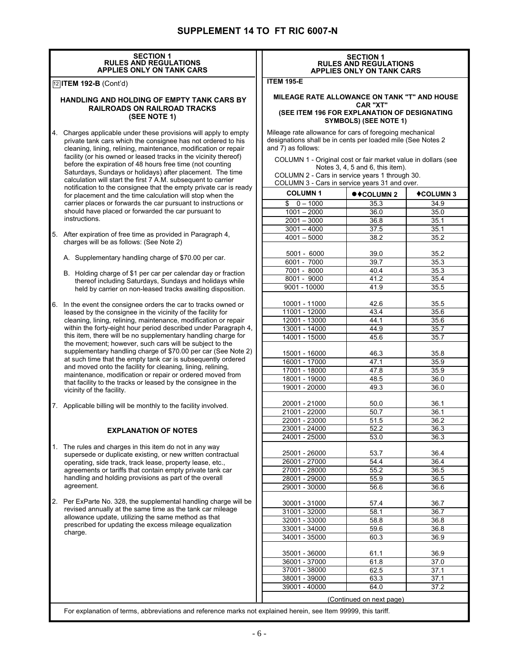| <b>SECTION 1</b><br><b>RULES AND REGULATIONS</b><br><b>APPLIES ONLY ON TANK CARS</b>                                                                                                                                                                                                                                                                                                                                                                                                                                                    |                                                                                                                                                                                                                                                                                                                                                      | <b>SECTION 1</b><br><b>RULES AND REGULATIONS</b><br><b>APPLIES ONLY ON TANK CARS</b>     |                  |  |
|-----------------------------------------------------------------------------------------------------------------------------------------------------------------------------------------------------------------------------------------------------------------------------------------------------------------------------------------------------------------------------------------------------------------------------------------------------------------------------------------------------------------------------------------|------------------------------------------------------------------------------------------------------------------------------------------------------------------------------------------------------------------------------------------------------------------------------------------------------------------------------------------------------|------------------------------------------------------------------------------------------|------------------|--|
| $12$ <b>ITEM 192-B</b> (Cont'd)                                                                                                                                                                                                                                                                                                                                                                                                                                                                                                         | <b>ITEM 195-E</b>                                                                                                                                                                                                                                                                                                                                    |                                                                                          |                  |  |
| <b>HANDLING AND HOLDING OF EMPTY TANK CARS BY</b><br><b>RAILROADS ON RAILROAD TRACKS</b><br>(SEE NOTE 1)                                                                                                                                                                                                                                                                                                                                                                                                                                | <b>MILEAGE RATE ALLOWANCE ON TANK "T" AND HOUSE</b>                                                                                                                                                                                                                                                                                                  | <b>CAR "XT"</b><br>(SEE ITEM 196 FOR EXPLANATION OF DESIGNATING<br>SYMBOLS) (SEE NOTE 1) |                  |  |
| 4. Charges applicable under these provisions will apply to empty<br>private tank cars which the consignee has not ordered to his<br>cleaning, lining, relining, maintenance, modification or repair<br>facility (or his owned or leased tracks in the vicinity thereof)<br>before the expiration of 48 hours free time (not counting<br>Saturdays, Sundays or holidays) after placement. The time<br>calculation will start the first 7 A.M. subsequent to carrier<br>notification to the consignee that the empty private car is ready | Mileage rate allowance for cars of foregoing mechanical<br>designations shall be in cents per loaded mile (See Notes 2<br>and 7) as follows:<br>COLUMN 1 - Original cost or fair market value in dollars (see<br>Notes 3, 4, 5 and 6, this item).<br>COLUMN 2 - Cars in service years 1 through 30.<br>COLUMN 3 - Cars in service years 31 and over. |                                                                                          |                  |  |
| for placement and the time calculation will stop when the                                                                                                                                                                                                                                                                                                                                                                                                                                                                               | <b>COLUMN1</b>                                                                                                                                                                                                                                                                                                                                       | ● +COLUMN 2                                                                              | <b>♦COLUMN 3</b> |  |
| carrier places or forwards the car pursuant to instructions or                                                                                                                                                                                                                                                                                                                                                                                                                                                                          | $$0 - 1000$                                                                                                                                                                                                                                                                                                                                          | 35.3                                                                                     | 34.9             |  |
| should have placed or forwarded the car pursuant to                                                                                                                                                                                                                                                                                                                                                                                                                                                                                     | $1001 - 2000$                                                                                                                                                                                                                                                                                                                                        | 36.0                                                                                     | 35.0             |  |
| instructions.                                                                                                                                                                                                                                                                                                                                                                                                                                                                                                                           | $2001 - 3000$                                                                                                                                                                                                                                                                                                                                        | 36.8                                                                                     | 35.1             |  |
|                                                                                                                                                                                                                                                                                                                                                                                                                                                                                                                                         | $3001 - 4000$                                                                                                                                                                                                                                                                                                                                        | 37.5                                                                                     | 35.1             |  |
| 5. After expiration of free time as provided in Paragraph 4,<br>charges will be as follows: (See Note 2)                                                                                                                                                                                                                                                                                                                                                                                                                                | $4001 - 5000$                                                                                                                                                                                                                                                                                                                                        | 38.2                                                                                     | 35.2             |  |
|                                                                                                                                                                                                                                                                                                                                                                                                                                                                                                                                         | $5001 - 6000$                                                                                                                                                                                                                                                                                                                                        | 39.0                                                                                     | 35.2             |  |
| A. Supplementary handling charge of \$70.00 per car.                                                                                                                                                                                                                                                                                                                                                                                                                                                                                    | 6001 - 7000                                                                                                                                                                                                                                                                                                                                          | 39.7                                                                                     | 35.3             |  |
|                                                                                                                                                                                                                                                                                                                                                                                                                                                                                                                                         | 7001 - 8000                                                                                                                                                                                                                                                                                                                                          | $\overline{40.4}$                                                                        | 35.3             |  |
| B. Holding charge of \$1 per car per calendar day or fraction<br>thereof including Saturdays, Sundays and holidays while                                                                                                                                                                                                                                                                                                                                                                                                                | 8001 - 9000                                                                                                                                                                                                                                                                                                                                          | 41.2                                                                                     | 35.4             |  |
| held by carrier on non-leased tracks awaiting disposition.                                                                                                                                                                                                                                                                                                                                                                                                                                                                              | 9001 - 10000                                                                                                                                                                                                                                                                                                                                         | 41.9                                                                                     | 35.5             |  |
|                                                                                                                                                                                                                                                                                                                                                                                                                                                                                                                                         | 10001 - 11000                                                                                                                                                                                                                                                                                                                                        | 42.6                                                                                     | 35.5             |  |
| In the event the consignee orders the car to tracks owned or                                                                                                                                                                                                                                                                                                                                                                                                                                                                            | 11001 - 12000                                                                                                                                                                                                                                                                                                                                        | 43.4                                                                                     | 35.6             |  |
| leased by the consignee in the vicinity of the facility for<br>cleaning, lining, relining, maintenance, modification or repair                                                                                                                                                                                                                                                                                                                                                                                                          | 12001 - 13000                                                                                                                                                                                                                                                                                                                                        | 44.1                                                                                     |                  |  |
| within the forty-eight hour period described under Paragraph 4,                                                                                                                                                                                                                                                                                                                                                                                                                                                                         | 13001 - 14000                                                                                                                                                                                                                                                                                                                                        | 44.9                                                                                     | 35.6<br>35.7     |  |
| this item, there will be no supplementary handling charge for                                                                                                                                                                                                                                                                                                                                                                                                                                                                           | 14001 - 15000                                                                                                                                                                                                                                                                                                                                        | 45.6                                                                                     | 35.7             |  |
| the movement; however, such cars will be subject to the<br>supplementary handling charge of \$70.00 per car (See Note 2)                                                                                                                                                                                                                                                                                                                                                                                                                | 15001 - 16000                                                                                                                                                                                                                                                                                                                                        | 46.3                                                                                     | 35.8             |  |
| at such time that the empty tank car is subsequently ordered                                                                                                                                                                                                                                                                                                                                                                                                                                                                            | 16001 - 17000                                                                                                                                                                                                                                                                                                                                        | 47.1                                                                                     | 35.9             |  |
| and moved onto the facility for cleaning, lining, relining,                                                                                                                                                                                                                                                                                                                                                                                                                                                                             | 17001 - 18000                                                                                                                                                                                                                                                                                                                                        | 47.8                                                                                     | 35.9             |  |
| maintenance, modification or repair or ordered moved from<br>that facility to the tracks or leased by the consignee in the                                                                                                                                                                                                                                                                                                                                                                                                              | 18001 - 19000                                                                                                                                                                                                                                                                                                                                        | 48.5                                                                                     | 36.0             |  |
| vicinity of the facility.                                                                                                                                                                                                                                                                                                                                                                                                                                                                                                               | 19001 - 20000                                                                                                                                                                                                                                                                                                                                        | 49.3                                                                                     | 36.0             |  |
| 7. Applicable billing will be monthly to the facility involved.                                                                                                                                                                                                                                                                                                                                                                                                                                                                         | 20001 - 21000                                                                                                                                                                                                                                                                                                                                        | 50.0                                                                                     | 36.1             |  |
|                                                                                                                                                                                                                                                                                                                                                                                                                                                                                                                                         | 21001 - 22000                                                                                                                                                                                                                                                                                                                                        | 50.7                                                                                     | 36.1             |  |
|                                                                                                                                                                                                                                                                                                                                                                                                                                                                                                                                         | 22001 - 23000                                                                                                                                                                                                                                                                                                                                        | 51.5                                                                                     | 36.2             |  |
| <b>EXPLANATION OF NOTES</b>                                                                                                                                                                                                                                                                                                                                                                                                                                                                                                             | 23001 - 24000                                                                                                                                                                                                                                                                                                                                        | 52.2                                                                                     | 36.3             |  |
|                                                                                                                                                                                                                                                                                                                                                                                                                                                                                                                                         | 24001 - 25000                                                                                                                                                                                                                                                                                                                                        | 53.0                                                                                     | 36.3             |  |
| The rules and charges in this item do not in any way                                                                                                                                                                                                                                                                                                                                                                                                                                                                                    |                                                                                                                                                                                                                                                                                                                                                      |                                                                                          |                  |  |
| supersede or duplicate existing, or new written contractual                                                                                                                                                                                                                                                                                                                                                                                                                                                                             | 25001 - 26000<br>26001 - 27000                                                                                                                                                                                                                                                                                                                       | 53.7<br>54.4                                                                             | 36.4<br>36.4     |  |
| operating, side track, track lease, property lease, etc.,<br>agreements or tariffs that contain empty private tank car                                                                                                                                                                                                                                                                                                                                                                                                                  | 27001 - 28000                                                                                                                                                                                                                                                                                                                                        | 55.2                                                                                     | 36.5             |  |
| handling and holding provisions as part of the overall                                                                                                                                                                                                                                                                                                                                                                                                                                                                                  | 28001 - 29000                                                                                                                                                                                                                                                                                                                                        | 55.9                                                                                     | 36.5             |  |
| agreement.                                                                                                                                                                                                                                                                                                                                                                                                                                                                                                                              | 29001 - 30000                                                                                                                                                                                                                                                                                                                                        | 56.6                                                                                     | 36.6             |  |
|                                                                                                                                                                                                                                                                                                                                                                                                                                                                                                                                         |                                                                                                                                                                                                                                                                                                                                                      |                                                                                          |                  |  |
| Per ExParte No. 328, the supplemental handling charge will be                                                                                                                                                                                                                                                                                                                                                                                                                                                                           | 30001 - 31000                                                                                                                                                                                                                                                                                                                                        | 57.4                                                                                     | 36.7             |  |
| revised annually at the same time as the tank car mileage<br>allowance update, utilizing the same method as that                                                                                                                                                                                                                                                                                                                                                                                                                        | 31001 - 32000                                                                                                                                                                                                                                                                                                                                        | 58.1                                                                                     | 36.7             |  |
| prescribed for updating the excess mileage equalization                                                                                                                                                                                                                                                                                                                                                                                                                                                                                 | 32001 - 33000                                                                                                                                                                                                                                                                                                                                        | 58.8                                                                                     | 36.8             |  |
| charge.                                                                                                                                                                                                                                                                                                                                                                                                                                                                                                                                 | 33001 - 34000                                                                                                                                                                                                                                                                                                                                        | 59.6                                                                                     | 36.8             |  |
|                                                                                                                                                                                                                                                                                                                                                                                                                                                                                                                                         | 34001 - 35000                                                                                                                                                                                                                                                                                                                                        | 60.3                                                                                     | 36.9             |  |
|                                                                                                                                                                                                                                                                                                                                                                                                                                                                                                                                         | 35001 - 36000                                                                                                                                                                                                                                                                                                                                        | 61.1                                                                                     | 36.9             |  |
|                                                                                                                                                                                                                                                                                                                                                                                                                                                                                                                                         | 36001 - 37000                                                                                                                                                                                                                                                                                                                                        | 61.8                                                                                     | 37.0             |  |
|                                                                                                                                                                                                                                                                                                                                                                                                                                                                                                                                         | 37001 - 38000                                                                                                                                                                                                                                                                                                                                        | 62.5                                                                                     | 37.1             |  |
|                                                                                                                                                                                                                                                                                                                                                                                                                                                                                                                                         | 38001 - 39000                                                                                                                                                                                                                                                                                                                                        | 63.3                                                                                     | 37.1             |  |
|                                                                                                                                                                                                                                                                                                                                                                                                                                                                                                                                         | 39001 - 40000                                                                                                                                                                                                                                                                                                                                        | 64.0                                                                                     | 37.2             |  |
|                                                                                                                                                                                                                                                                                                                                                                                                                                                                                                                                         |                                                                                                                                                                                                                                                                                                                                                      | (Continued on next page)                                                                 |                  |  |
|                                                                                                                                                                                                                                                                                                                                                                                                                                                                                                                                         |                                                                                                                                                                                                                                                                                                                                                      |                                                                                          |                  |  |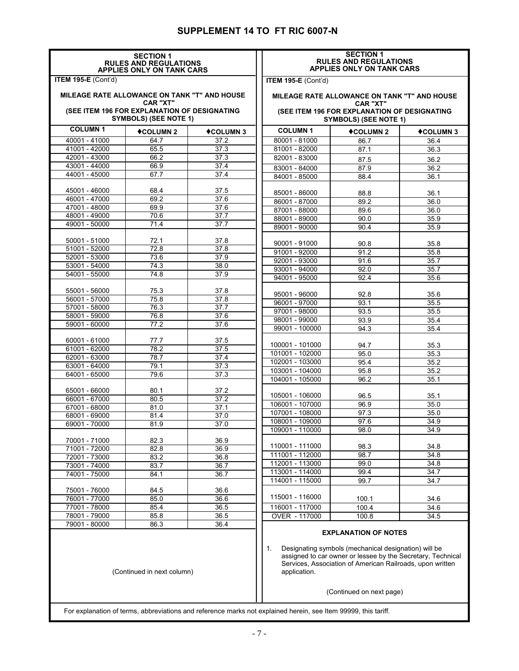|                                                                                                                                            | <b>SECTION 1</b><br><b>RULES AND REGULATIONS</b><br><b>APPLIES ONLY ON TANK CARS</b>                                                                                                                                                                                |                                                                        |                         | <b>SECTION 1</b><br><b>RULES AND REGULATIONS</b><br><b>APPLIES ONLY ON TANK CARS</b> |      |
|--------------------------------------------------------------------------------------------------------------------------------------------|---------------------------------------------------------------------------------------------------------------------------------------------------------------------------------------------------------------------------------------------------------------------|------------------------------------------------------------------------|-------------------------|--------------------------------------------------------------------------------------|------|
| <b>ITEM 195-E (Cont'd)</b>                                                                                                                 |                                                                                                                                                                                                                                                                     |                                                                        | ITEM 195-E (Cont'd)     |                                                                                      |      |
| <b>MILEAGE RATE ALLOWANCE ON TANK "T" AND HOUSE</b><br><b>CAR "XT"</b>                                                                     |                                                                                                                                                                                                                                                                     | <b>MILEAGE RATE ALLOWANCE ON TANK "T" AND HOUSE</b><br><b>CAR "XT"</b> |                         |                                                                                      |      |
| (SEE ITEM 196 FOR EXPLANATION OF DESIGNATING<br><b>SYMBOLS) (SEE NOTE 1)</b>                                                               |                                                                                                                                                                                                                                                                     | (SEE ITEM 196 FOR EXPLANATION OF DESIGNATING<br>SYMBOLS) (SEE NOTE 1)  |                         |                                                                                      |      |
| <b>COLUMN1</b>                                                                                                                             | <b>♦COLUMN 2</b>                                                                                                                                                                                                                                                    | <b>♦COLUMN 3</b>                                                       | <b>COLUMN1</b>          | <b>♦COLUMN 3</b>                                                                     |      |
| 40001 - 41000                                                                                                                              | 64.7                                                                                                                                                                                                                                                                | 37.2                                                                   | 80001 - 81000           | 86.7                                                                                 | 36.4 |
| 41001 - 42000                                                                                                                              | 65.5                                                                                                                                                                                                                                                                | 37.3                                                                   | 81001 - 82000           | 87.1                                                                                 | 36.3 |
| 42001 - 43000                                                                                                                              | 66.2                                                                                                                                                                                                                                                                | 37.3                                                                   | 82001 - 83000           | 87.5                                                                                 | 36.2 |
| 43001 - 44000                                                                                                                              | 66.9                                                                                                                                                                                                                                                                | 37.4                                                                   | 83001 - 84000           | 87.9                                                                                 | 36.2 |
| 44001 - 45000                                                                                                                              | 67.7                                                                                                                                                                                                                                                                | 37.4                                                                   | 84001 - 85000           | 88.4                                                                                 | 36.1 |
| 45001 - 46000                                                                                                                              | 68.4                                                                                                                                                                                                                                                                | 37.5                                                                   |                         |                                                                                      |      |
| 46001 - 47000                                                                                                                              | 69.2                                                                                                                                                                                                                                                                | 37.6                                                                   | 85001 - 86000           | 88.8                                                                                 | 36.1 |
| 47001 - 48000                                                                                                                              | 69.9                                                                                                                                                                                                                                                                | 37.6                                                                   | 86001 - 87000           | 89.2                                                                                 | 36.0 |
| 48001 - 49000                                                                                                                              | 70.6                                                                                                                                                                                                                                                                | 37.7                                                                   | 87001 - 88000           | 89.6                                                                                 | 36.0 |
| 49001 - 50000                                                                                                                              | 71.4                                                                                                                                                                                                                                                                | 37.7                                                                   | 88001 - 89000           | 90.0                                                                                 | 35.9 |
|                                                                                                                                            |                                                                                                                                                                                                                                                                     |                                                                        | 89001 - 90000           | 90.4                                                                                 | 35.9 |
| 50001 - 51000                                                                                                                              | 72.1                                                                                                                                                                                                                                                                | 37.8                                                                   |                         |                                                                                      |      |
| 51001 - 52000                                                                                                                              | 72.8                                                                                                                                                                                                                                                                | 37.8                                                                   | 90001 - 91000           | 90.8                                                                                 | 35.8 |
| 52001 - 53000                                                                                                                              | 73.6                                                                                                                                                                                                                                                                | 37.9                                                                   | 91001 - 92000           | 91.2                                                                                 | 35.8 |
| $53001 - 54000$                                                                                                                            | 74.3                                                                                                                                                                                                                                                                | 38.0                                                                   | 92001 - 93000           | 91.6                                                                                 | 35.7 |
| $54001 - 55000$                                                                                                                            | 74.8                                                                                                                                                                                                                                                                | 37.9                                                                   | 93001 - 94000           | 92.0                                                                                 | 35.7 |
|                                                                                                                                            |                                                                                                                                                                                                                                                                     |                                                                        | 94001 - 95000           | 92.4                                                                                 | 35.6 |
| 55001 - 56000                                                                                                                              | 75.3                                                                                                                                                                                                                                                                | 37.8                                                                   | 95001 - 96000           | 92.8                                                                                 | 35.6 |
| 56001 - 57000                                                                                                                              | 75.8                                                                                                                                                                                                                                                                | 37.8                                                                   | 96001 - 97000           | 93.1                                                                                 | 35.5 |
| 57001 - 58000                                                                                                                              | 76.3                                                                                                                                                                                                                                                                | 37.7                                                                   | 97001 - 98000           | 93.5                                                                                 | 35.5 |
| 58001 - 59000                                                                                                                              | 76.8                                                                                                                                                                                                                                                                | 37.6                                                                   | 98001 - 99000           | 93.9                                                                                 | 35.4 |
| 59001 - 60000                                                                                                                              | 77.2                                                                                                                                                                                                                                                                | 37.6                                                                   | 99001 - 100000<br>94.3  |                                                                                      | 35.4 |
|                                                                                                                                            |                                                                                                                                                                                                                                                                     |                                                                        |                         |                                                                                      |      |
| 60001 - 61000                                                                                                                              | 77.7                                                                                                                                                                                                                                                                | 37.5                                                                   | 100001 - 101000         | 94.7                                                                                 | 35.3 |
| 61001 - 62000                                                                                                                              | 78.2                                                                                                                                                                                                                                                                | 37.5                                                                   | 101001 - 102000<br>95.0 |                                                                                      | 35.3 |
| 62001 - 63000                                                                                                                              | 78.7                                                                                                                                                                                                                                                                | 37.4                                                                   | 102001 - 103000<br>95.4 |                                                                                      | 35.2 |
| 63001 - 64000                                                                                                                              | 79.1                                                                                                                                                                                                                                                                | 37.3                                                                   | 103001 - 104000<br>95.8 |                                                                                      | 35.2 |
| 64001 - 65000                                                                                                                              | 79.6                                                                                                                                                                                                                                                                | 37.3                                                                   | 104001 - 105000<br>96.2 |                                                                                      | 35.1 |
|                                                                                                                                            |                                                                                                                                                                                                                                                                     |                                                                        |                         |                                                                                      |      |
| 65001 - 66000                                                                                                                              | 80.1                                                                                                                                                                                                                                                                | 37.2                                                                   | 105001 - 106000         | 96.5                                                                                 | 35.1 |
| 66001 - 67000                                                                                                                              | 80.5                                                                                                                                                                                                                                                                | 37.2                                                                   | 106001 - 107000         | 96.9                                                                                 | 35.0 |
| 67001 - 68000                                                                                                                              | 81.0                                                                                                                                                                                                                                                                | 37.1                                                                   | 107001 - 108000<br>97.3 |                                                                                      | 35.0 |
| 68001 - 69000                                                                                                                              | 81.4                                                                                                                                                                                                                                                                | 37.0                                                                   | 108001 - 109000         | 97.6                                                                                 | 34.9 |
| 69001 - 70000                                                                                                                              | 81.9                                                                                                                                                                                                                                                                | 37.0                                                                   | 109001 - 110000         | 98.0                                                                                 | 34.9 |
| 70001 - 71000                                                                                                                              | 82.3                                                                                                                                                                                                                                                                | 36.9                                                                   |                         |                                                                                      |      |
| 71001 - 72000                                                                                                                              | 82.8                                                                                                                                                                                                                                                                | 36.9                                                                   | 110001 - 111000         | 98.3                                                                                 | 34.8 |
| 72001 - 73000                                                                                                                              | 83.2                                                                                                                                                                                                                                                                | 36.8                                                                   | 111001 - 112000         | 98.7                                                                                 | 34.8 |
| 73001 - 74000                                                                                                                              | 83.7                                                                                                                                                                                                                                                                | 36.7                                                                   | 112001 - 113000         | 99.0                                                                                 | 34.8 |
| 74001 - 75000                                                                                                                              | 84.1                                                                                                                                                                                                                                                                | 36.7                                                                   | 113001 - 114000         | 99.4                                                                                 | 34.7 |
|                                                                                                                                            |                                                                                                                                                                                                                                                                     |                                                                        | 114001 - 115000         | 99.7                                                                                 | 34.7 |
| 75001 - 76000                                                                                                                              | 84.5                                                                                                                                                                                                                                                                | 36.6                                                                   |                         |                                                                                      |      |
| 76001 - 77000                                                                                                                              | 85.0                                                                                                                                                                                                                                                                | 36.6                                                                   | 115001 - 116000         | 100.1                                                                                | 34.6 |
| 77001 - 78000                                                                                                                              | 85.4                                                                                                                                                                                                                                                                | 36.5                                                                   | 116001 - 117000         | 100.4                                                                                | 34.6 |
| 78001 - 79000                                                                                                                              | 85.8                                                                                                                                                                                                                                                                | 36.5                                                                   | OVER - 117000           | 100.8                                                                                | 34.5 |
| 79001 - 80000                                                                                                                              | 86.3                                                                                                                                                                                                                                                                | 36.4                                                                   |                         |                                                                                      |      |
|                                                                                                                                            | <b>EXPLANATION OF NOTES</b><br>Designating symbols (mechanical designation) will be<br>1.<br>assigned to car owner or lessee by the Secretary, Technical<br>Services, Association of American Railroads, upon written<br>(Continued in next column)<br>application. |                                                                        |                         |                                                                                      |      |
| (Continued on next page)<br>For explanation of terms, abbreviations and reference marks not explained herein, see Item 99999, this tariff. |                                                                                                                                                                                                                                                                     |                                                                        |                         |                                                                                      |      |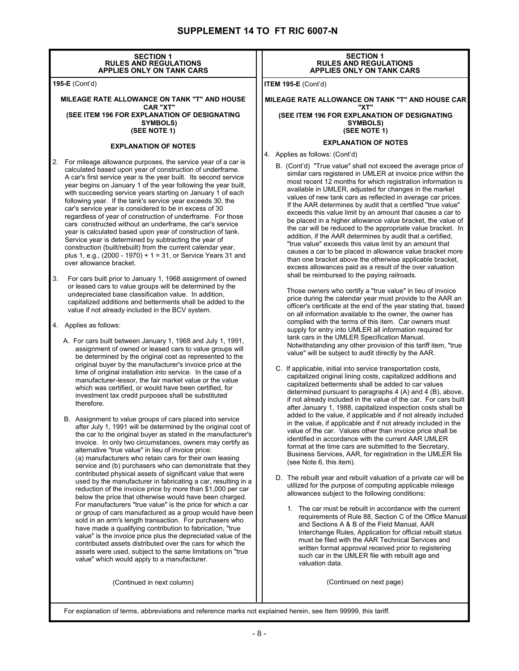| <b>SECTION 1</b><br><b>RULES AND REGULATIONS</b>                                                                                                                                                                                                                                                                                                                                                                                                                                                                                                                                                                                                                                                                                                                                                                                                                                                                                                                                                                                                                                                                                                                                                                                                                                                                                                                                                                                                                                                                                                                                                                                                                                                           | <b>SECTION 1</b><br><b>RULES AND REGULATIONS</b>                                                                                                                                                                                                                                                                                                                                                                                                                                                                                                                                                                                                                                                                                                                                                                                                                                                                                                                                                                                                                                                                                                                                                                                                                                                                                                                                                                                                                                                                                                                                                                                                      |  |  |
|------------------------------------------------------------------------------------------------------------------------------------------------------------------------------------------------------------------------------------------------------------------------------------------------------------------------------------------------------------------------------------------------------------------------------------------------------------------------------------------------------------------------------------------------------------------------------------------------------------------------------------------------------------------------------------------------------------------------------------------------------------------------------------------------------------------------------------------------------------------------------------------------------------------------------------------------------------------------------------------------------------------------------------------------------------------------------------------------------------------------------------------------------------------------------------------------------------------------------------------------------------------------------------------------------------------------------------------------------------------------------------------------------------------------------------------------------------------------------------------------------------------------------------------------------------------------------------------------------------------------------------------------------------------------------------------------------------|-------------------------------------------------------------------------------------------------------------------------------------------------------------------------------------------------------------------------------------------------------------------------------------------------------------------------------------------------------------------------------------------------------------------------------------------------------------------------------------------------------------------------------------------------------------------------------------------------------------------------------------------------------------------------------------------------------------------------------------------------------------------------------------------------------------------------------------------------------------------------------------------------------------------------------------------------------------------------------------------------------------------------------------------------------------------------------------------------------------------------------------------------------------------------------------------------------------------------------------------------------------------------------------------------------------------------------------------------------------------------------------------------------------------------------------------------------------------------------------------------------------------------------------------------------------------------------------------------------------------------------------------------------|--|--|
| <b>APPLIES ONLY ON TANK CARS</b>                                                                                                                                                                                                                                                                                                                                                                                                                                                                                                                                                                                                                                                                                                                                                                                                                                                                                                                                                                                                                                                                                                                                                                                                                                                                                                                                                                                                                                                                                                                                                                                                                                                                           | <b>APPLIES ONLY ON TANK CARS</b>                                                                                                                                                                                                                                                                                                                                                                                                                                                                                                                                                                                                                                                                                                                                                                                                                                                                                                                                                                                                                                                                                                                                                                                                                                                                                                                                                                                                                                                                                                                                                                                                                      |  |  |
| 195-E (Cont'd)                                                                                                                                                                                                                                                                                                                                                                                                                                                                                                                                                                                                                                                                                                                                                                                                                                                                                                                                                                                                                                                                                                                                                                                                                                                                                                                                                                                                                                                                                                                                                                                                                                                                                             | <b>ITEM 195-E (Cont'd)</b>                                                                                                                                                                                                                                                                                                                                                                                                                                                                                                                                                                                                                                                                                                                                                                                                                                                                                                                                                                                                                                                                                                                                                                                                                                                                                                                                                                                                                                                                                                                                                                                                                            |  |  |
| <b>MILEAGE RATE ALLOWANCE ON TANK "T" AND HOUSE</b><br>CAR "XT"                                                                                                                                                                                                                                                                                                                                                                                                                                                                                                                                                                                                                                                                                                                                                                                                                                                                                                                                                                                                                                                                                                                                                                                                                                                                                                                                                                                                                                                                                                                                                                                                                                            | MILEAGE RATE ALLOWANCE ON TANK "T" AND HOUSE CAR<br>"XT"                                                                                                                                                                                                                                                                                                                                                                                                                                                                                                                                                                                                                                                                                                                                                                                                                                                                                                                                                                                                                                                                                                                                                                                                                                                                                                                                                                                                                                                                                                                                                                                              |  |  |
| (SEE ITEM 196 FOR EXPLANATION OF DESIGNATING<br>SYMBOLS)<br>(SEE NOTE 1)                                                                                                                                                                                                                                                                                                                                                                                                                                                                                                                                                                                                                                                                                                                                                                                                                                                                                                                                                                                                                                                                                                                                                                                                                                                                                                                                                                                                                                                                                                                                                                                                                                   | (SEE ITEM 196 FOR EXPLANATION OF DESIGNATING<br>SYMBOLS)<br>(SEE NOTE 1)                                                                                                                                                                                                                                                                                                                                                                                                                                                                                                                                                                                                                                                                                                                                                                                                                                                                                                                                                                                                                                                                                                                                                                                                                                                                                                                                                                                                                                                                                                                                                                              |  |  |
|                                                                                                                                                                                                                                                                                                                                                                                                                                                                                                                                                                                                                                                                                                                                                                                                                                                                                                                                                                                                                                                                                                                                                                                                                                                                                                                                                                                                                                                                                                                                                                                                                                                                                                            | <b>EXPLANATION OF NOTES</b>                                                                                                                                                                                                                                                                                                                                                                                                                                                                                                                                                                                                                                                                                                                                                                                                                                                                                                                                                                                                                                                                                                                                                                                                                                                                                                                                                                                                                                                                                                                                                                                                                           |  |  |
| <b>EXPLANATION OF NOTES</b>                                                                                                                                                                                                                                                                                                                                                                                                                                                                                                                                                                                                                                                                                                                                                                                                                                                                                                                                                                                                                                                                                                                                                                                                                                                                                                                                                                                                                                                                                                                                                                                                                                                                                | 4. Applies as follows: (Cont'd)                                                                                                                                                                                                                                                                                                                                                                                                                                                                                                                                                                                                                                                                                                                                                                                                                                                                                                                                                                                                                                                                                                                                                                                                                                                                                                                                                                                                                                                                                                                                                                                                                       |  |  |
| 2. For mileage allowance purposes, the service year of a car is<br>calculated based upon year of construction of underframe.<br>A car's first service year is the year built. Its second service<br>year begins on January 1 of the year following the year built,<br>with succeeding service years starting on January 1 of each<br>following year. If the tank's service year exceeds 30, the<br>car's service year is considered to be in excess of 30<br>regardless of year of construction of underframe. For those<br>cars constructed without an underframe, the car's service<br>year is calculated based upon year of construction of tank.<br>Service year is determined by subtracting the year of<br>construction (built/rebuilt) from the current calendar year,<br>plus 1, e.g., (2000 - 1970) + 1 = 31, or Service Years 31 and<br>over allowance bracket.                                                                                                                                                                                                                                                                                                                                                                                                                                                                                                                                                                                                                                                                                                                                                                                                                                  | B. (Cont'd) "True value" shall not exceed the average price of<br>similar cars registered in UMLER at invoice price within the<br>most recent 12 months for which registration information is<br>available in UMLER, adjusted for changes in the market<br>values of new tank cars as reflected in average car prices.<br>If the AAR determines by audit that a certified "true value"<br>exceeds this value limit by an amount that causes a car to<br>be placed in a higher allowance value bracket, the value of<br>the car will be reduced to the appropriate value bracket. In<br>addition, if the AAR determines by audit that a certified,<br>"true value" exceeds this value limit by an amount that<br>causes a car to be placed in allowance value bracket more<br>than one bracket above the otherwise applicable bracket,<br>excess allowances paid as a result of the over valuation                                                                                                                                                                                                                                                                                                                                                                                                                                                                                                                                                                                                                                                                                                                                                     |  |  |
| 3.<br>For cars built prior to January 1, 1968 assignment of owned<br>or leased cars to value groups will be determined by the<br>undepreciated base classification value. In addition,<br>capitalized additions and betterments shall be added to the<br>value if not already included in the BCV system.<br>4. Applies as follows:                                                                                                                                                                                                                                                                                                                                                                                                                                                                                                                                                                                                                                                                                                                                                                                                                                                                                                                                                                                                                                                                                                                                                                                                                                                                                                                                                                        | shall be reimbursed to the paying railroads.<br>Those owners who certify a "true value" in lieu of invoice<br>price during the calendar year must provide to the AAR an<br>officer's certificate at the end of the year stating that, based<br>on all information available to the owner, the owner has<br>complied with the terms of this item. Car owners must                                                                                                                                                                                                                                                                                                                                                                                                                                                                                                                                                                                                                                                                                                                                                                                                                                                                                                                                                                                                                                                                                                                                                                                                                                                                                      |  |  |
| A. For cars built between January 1, 1968 and July 1, 1991,<br>assignment of owned or leased cars to value groups will<br>be determined by the original cost as represented to the<br>original buyer by the manufacturer's invoice price at the<br>time of original installation into service. In the case of a<br>manufacturer-lessor, the fair market value or the value<br>which was certified, or would have been certified, for<br>investment tax credit purposes shall be substituted<br>therefore.<br>B. Assignment to value groups of cars placed into service<br>after July 1, 1991 will be determined by the original cost of<br>the car to the original buyer as stated in the manufacturer's<br>invoice. In only two circumstances, owners may certify as<br>alternative "true value" in lieu of invoice price:<br>(a) manufacturers who retain cars for their own leasing<br>service and (b) purchasers who can demonstrate that they<br>contributed physical assets of significant value that were<br>used by the manufacturer in fabricating a car, resulting in a<br>reduction of the invoice price by more than \$1,000 per car<br>below the price that otherwise would have been charged.<br>For manufacturers "true value" is the price for which a car<br>or group of cars manufactured as a group would have been<br>sold in an arm's length transaction. For purchasers who<br>have made a qualifying contribution to fabrication, "true<br>value" is the invoice price plus the depreciated value of the<br>contributed assets distributed over the cars for which the<br>assets were used, subject to the same limitations on "true<br>value" which would apply to a manufacturer. | supply for entry into UMLER all information required for<br>tank cars in the UMLER Specification Manual.<br>Notwithstanding any other provision of this tariff item, "true<br>value" will be subject to audit directly by the AAR.<br>C. If applicable, initial into service transportation costs,<br>capitalized original lining costs, capitalized additions and<br>capitalized betterments shall be added to car values<br>determined pursuant to paragraphs 4 (A) and 4 (B), above,<br>if not already included in the value of the car. For cars built<br>after January 1, 1988, capitalized inspection costs shall be<br>added to the value, if applicable and if not already included<br>in the value, if applicable and if not already included in the<br>value of the car. Values other than invoice price shall be<br>identified in accordance with the current AAR UMLER<br>format at the time cars are submitted to the Secretary,<br>Business Services, AAR, for registration in the UMLER file<br>(see Note 6, this item).<br>D. The rebuilt year and rebuilt valuation of a private car will be<br>utilized for the purpose of computing applicable mileage<br>allowances subject to the following conditions:<br>1. The car must be rebuilt in accordance with the current<br>requirements of Rule 88, Section C of the Office Manual<br>and Sections A & B of the Field Manual, AAR<br>Interchange Rules, Application for official rebuilt status<br>must be filed with the AAR Technical Services and<br>written formal approval received prior to registering<br>such car in the UMLER file with rebuilt age and<br>valuation data. |  |  |
| (Continued in next column)                                                                                                                                                                                                                                                                                                                                                                                                                                                                                                                                                                                                                                                                                                                                                                                                                                                                                                                                                                                                                                                                                                                                                                                                                                                                                                                                                                                                                                                                                                                                                                                                                                                                                 | (Continued on next page)                                                                                                                                                                                                                                                                                                                                                                                                                                                                                                                                                                                                                                                                                                                                                                                                                                                                                                                                                                                                                                                                                                                                                                                                                                                                                                                                                                                                                                                                                                                                                                                                                              |  |  |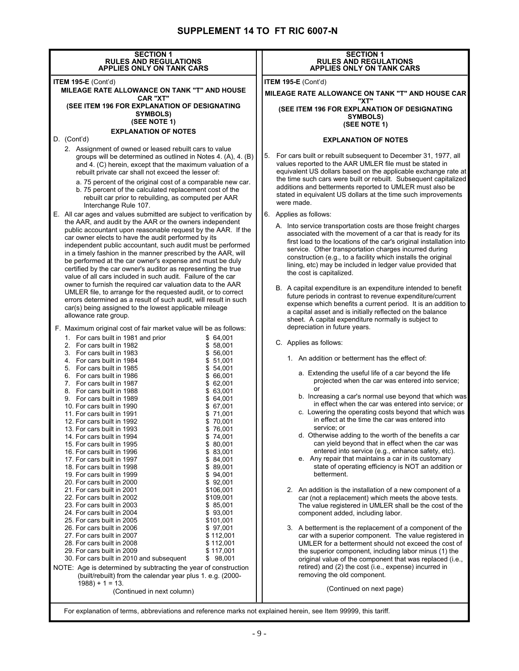| <b>SECTION 1</b>                                                                                                              | <b>SECTION 1</b>                                                                                                          |
|-------------------------------------------------------------------------------------------------------------------------------|---------------------------------------------------------------------------------------------------------------------------|
| <b>RULES AND REGULATIONS</b>                                                                                                  | <b>RULES AND REGULATIONS</b>                                                                                              |
| <b>APPLIES ONLY ON TANK CARS</b>                                                                                              | <b>APPLIES ONLY ON TANK CARS</b>                                                                                          |
| <b>ITEM 195-E (Cont'd)</b>                                                                                                    | <b>ITEM 195-E (Cont'd)</b>                                                                                                |
| MILEAGE RATE ALLOWANCE ON TANK "T" AND HOUSE                                                                                  | MILEAGE RATE ALLOWANCE ON TANK "T" AND HOUSE CAR                                                                          |
| <b>CAR "XT"</b>                                                                                                               | "XT"                                                                                                                      |
| (SEE ITEM 196 FOR EXPLANATION OF DESIGNATING                                                                                  | (SEE ITEM 196 FOR EXPLANATION OF DESIGNATING                                                                              |
| SYMBOLS)                                                                                                                      | SYMBOLS)                                                                                                                  |
| (SEE NOTE 1)                                                                                                                  | (SEE NOTE 1)                                                                                                              |
| <b>EXPLANATION OF NOTES</b>                                                                                                   |                                                                                                                           |
| D. (Cont'd)                                                                                                                   | <b>EXPLANATION OF NOTES</b>                                                                                               |
| 2. Assignment of owned or leased rebuilt cars to value<br>groups will be determined as outlined in Notes 4. (A), 4. (B)       | 5.<br>For cars built or rebuilt subsequent to December 31, 1977, all                                                      |
| and 4. (C) herein, except that the maximum valuation of a<br>rebuilt private car shall not exceed the lesser of:              | values reported to the AAR UMLER file must be stated in<br>equivalent US dollars based on the applicable exchange rate at |
| a. 75 percent of the original cost of a comparable new car.                                                                   | the time such cars were built or rebuilt. Subsequent capitalized                                                          |
| b. 75 percent of the calculated replacement cost of the                                                                       | additions and betterments reported to UMLER must also be                                                                  |
| rebuilt car prior to rebuilding, as computed per AAR                                                                          | stated in equivalent US dollars at the time such improvements                                                             |
| Interchange Rule 107.                                                                                                         | were made.                                                                                                                |
| E. All car ages and values submitted are subject to verification by                                                           | 6. Applies as follows:                                                                                                    |
| the AAR, and audit by the AAR or the owners independent<br>public accountant upon reasonable request by the AAR. If the       | A. Into service transportation costs are those freight charges                                                            |
| car owner elects to have the audit performed by its                                                                           | associated with the movement of a car that is ready for its                                                               |
| independent public accountant, such audit must be performed                                                                   | first load to the locations of the car's original installation into                                                       |
| in a timely fashion in the manner prescribed by the AAR, will                                                                 | service. Other transportation charges incurred during<br>construction (e.g., to a facility which installs the original    |
| be performed at the car owner's expense and must be duly                                                                      | lining, etc) may be included in ledger value provided that                                                                |
| certified by the car owner's auditor as representing the true                                                                 | the cost is capitalized.                                                                                                  |
| value of all cars included in such audit. Failure of the car<br>owner to furnish the required car valuation data to the AAR   |                                                                                                                           |
| UMLER file, to arrange for the requested audit, or to correct                                                                 | B. A capital expenditure is an expenditure intended to benefit                                                            |
| errors determined as a result of such audit, will result in such                                                              | future periods in contrast to revenue expenditure/current                                                                 |
| car(s) being assigned to the lowest applicable mileage                                                                        | expense which benefits a current period. It is an addition to                                                             |
| allowance rate group.                                                                                                         | a capital asset and is initially reflected on the balance                                                                 |
|                                                                                                                               | sheet. A capital expenditure normally is subject to<br>depreciation in future years.                                      |
| F. Maximum original cost of fair market value will be as follows:                                                             |                                                                                                                           |
| \$64,001<br>1. For cars built in 1981 and prior<br>\$58,001<br>2. For cars built in 1982                                      | C. Applies as follows:                                                                                                    |
| \$56,001<br>3. For cars built in 1983                                                                                         |                                                                                                                           |
| \$51,001<br>4. For cars built in 1984                                                                                         | 1. An addition or betterment has the effect of:                                                                           |
| \$54,001<br>5. For cars built in 1985                                                                                         |                                                                                                                           |
| \$66,001<br>6. For cars built in 1986                                                                                         | a. Extending the useful life of a car beyond the life<br>projected when the car was entered into service;                 |
| \$62,001<br>7. For cars built in 1987                                                                                         | or                                                                                                                        |
| \$63,001<br>8. For cars built in 1988<br>9. For cars built in 1989<br>\$64,001                                                | b. Increasing a car's normal use beyond that which was                                                                    |
| 10. For cars built in 1990<br>\$67,001                                                                                        | in effect when the car was entered into service; or                                                                       |
| 11. For cars built in 1991<br>\$71,001                                                                                        | c. Lowering the operating costs beyond that which was                                                                     |
| \$70,001<br>12. For cars built in 1992                                                                                        | in effect at the time the car was entered into                                                                            |
| 13. For cars built in 1993<br>\$76,001                                                                                        | service; or                                                                                                               |
| 14. For cars built in 1994<br>\$74,001                                                                                        | d. Otherwise adding to the worth of the benefits a car<br>can yield beyond that in effect when the car was                |
| 15. For cars built in 1995<br>\$80,001<br>\$83,001<br>16. For cars built in 1996                                              | entered into service (e.g., enhance safety, etc).                                                                         |
| 17. For cars built in 1997<br>\$84,001                                                                                        | e. Any repair that maintains a car in its customary                                                                       |
| \$89,001<br>18. For cars built in 1998                                                                                        | state of operating efficiency is NOT an addition or                                                                       |
| \$94,001<br>19. For cars built in 1999                                                                                        | betterment.                                                                                                               |
| \$92,001<br>20. For cars built in 2000                                                                                        |                                                                                                                           |
| 21. For cars built in 2001<br>\$106,001                                                                                       | 2. An addition is the installation of a new component of a                                                                |
| 22. For cars built in 2002<br>\$109,001<br>23. For cars built in 2003<br>\$85,001                                             | car (not a replacement) which meets the above tests.                                                                      |
| \$93,001<br>24. For cars built in 2004                                                                                        | The value registered in UMLER shall be the cost of the<br>component added, including labor.                               |
| 25. For cars built in 2005<br>\$101,001                                                                                       |                                                                                                                           |
| \$97,001<br>26. For cars built in 2006                                                                                        | 3. A betterment is the replacement of a component of the                                                                  |
| \$112,001<br>27. For cars built in 2007                                                                                       | car with a superior component. The value registered in                                                                    |
| \$112,001<br>28. For cars built in 2008                                                                                       | UMLER for a betterment should not exceed the cost of                                                                      |
| 29. For cars built in 2009<br>\$117,001<br>\$98,001<br>30. For cars built in 2010 and subsequent                              | the superior component, including labor minus (1) the                                                                     |
|                                                                                                                               | original value of the component that was replaced (i.e.,                                                                  |
| NOTE: Age is determined by subtracting the year of construction<br>(built/rebuilt) from the calendar year plus 1. e.g. (2000- | retired) and (2) the cost (i.e., expense) incurred in<br>removing the old component.                                      |
| $1988$ ) + 1 = 13.                                                                                                            |                                                                                                                           |
| (Continued in next column)                                                                                                    | (Continued on next page)                                                                                                  |
|                                                                                                                               |                                                                                                                           |
| For explanation of terms, abbreviations and reference marks not explained herein, see Item 99999, this tariff.                |                                                                                                                           |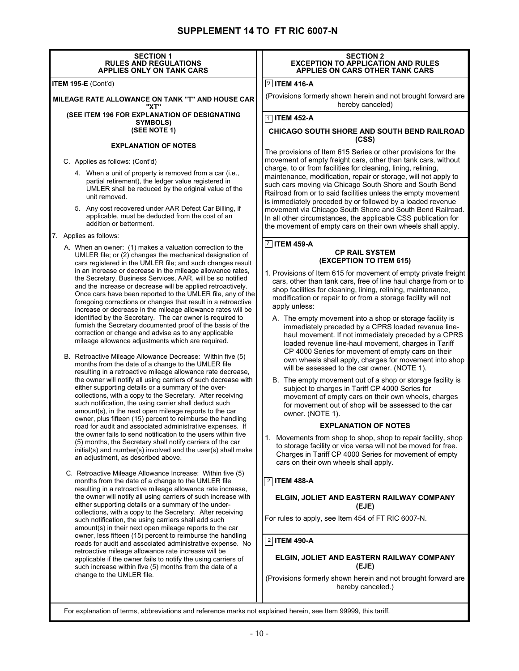| <b>SECTION 1</b><br><b>RULES AND REGULATIONS</b><br><b>APPLIES ONLY ON TANK CARS</b>                                                                                                                                                                                                                                                                                                                                                                                                                                                                                                                                          | <b>SECTION 2</b><br><b>EXCEPTION TO APPLICATION AND RULES</b><br><b>APPLIES ON CARS OTHER TANK CARS</b>                                                                                                                                                                                                                                                                                                                                                                                                                 |
|-------------------------------------------------------------------------------------------------------------------------------------------------------------------------------------------------------------------------------------------------------------------------------------------------------------------------------------------------------------------------------------------------------------------------------------------------------------------------------------------------------------------------------------------------------------------------------------------------------------------------------|-------------------------------------------------------------------------------------------------------------------------------------------------------------------------------------------------------------------------------------------------------------------------------------------------------------------------------------------------------------------------------------------------------------------------------------------------------------------------------------------------------------------------|
| <b>ITEM 195-E (Cont'd)</b>                                                                                                                                                                                                                                                                                                                                                                                                                                                                                                                                                                                                    | $9$ ITEM 416-A                                                                                                                                                                                                                                                                                                                                                                                                                                                                                                          |
| MILEAGE RATE ALLOWANCE ON TANK "T" AND HOUSE CAR<br>"XT"                                                                                                                                                                                                                                                                                                                                                                                                                                                                                                                                                                      | (Provisions formerly shown herein and not brought forward are<br>hereby canceled)                                                                                                                                                                                                                                                                                                                                                                                                                                       |
| (SEE ITEM 196 FOR EXPLANATION OF DESIGNATING<br>SYMBOLS)                                                                                                                                                                                                                                                                                                                                                                                                                                                                                                                                                                      | $\boxed{1}$ ITEM 452-A                                                                                                                                                                                                                                                                                                                                                                                                                                                                                                  |
| (SEE NOTE 1)                                                                                                                                                                                                                                                                                                                                                                                                                                                                                                                                                                                                                  | <b>CHICAGO SOUTH SHORE AND SOUTH BEND RAILROAD</b><br>(CSS)                                                                                                                                                                                                                                                                                                                                                                                                                                                             |
| <b>EXPLANATION OF NOTES</b>                                                                                                                                                                                                                                                                                                                                                                                                                                                                                                                                                                                                   | The provisions of Item 615 Series or other provisions for the                                                                                                                                                                                                                                                                                                                                                                                                                                                           |
| C. Applies as follows: (Cont'd)                                                                                                                                                                                                                                                                                                                                                                                                                                                                                                                                                                                               | movement of empty freight cars, other than tank cars, without<br>charge, to or from facilities for cleaning, lining, relining,                                                                                                                                                                                                                                                                                                                                                                                          |
| 4. When a unit of property is removed from a car (i.e.,<br>partial retirement), the ledger value registered in<br>UMLER shall be reduced by the original value of the<br>unit removed.<br>5. Any cost recovered under AAR Defect Car Billing, if                                                                                                                                                                                                                                                                                                                                                                              | maintenance, modification, repair or storage, will not apply to<br>such cars moving via Chicago South Shore and South Bend<br>Railroad from or to said facilities unless the empty movement<br>is immediately preceded by or followed by a loaded revenue<br>movement via Chicago South Shore and South Bend Railroad.                                                                                                                                                                                                  |
| applicable, must be deducted from the cost of an<br>addition or betterment.                                                                                                                                                                                                                                                                                                                                                                                                                                                                                                                                                   | In all other circumstances, the applicable CSS publication for<br>the movement of empty cars on their own wheels shall apply.                                                                                                                                                                                                                                                                                                                                                                                           |
| 7. Applies as follows:                                                                                                                                                                                                                                                                                                                                                                                                                                                                                                                                                                                                        | $\boxed{7}$ ITEM 459-A                                                                                                                                                                                                                                                                                                                                                                                                                                                                                                  |
| A. When an owner: (1) makes a valuation correction to the<br>UMLER file; or (2) changes the mechanical designation of<br>cars registered in the UMLER file; and such changes result                                                                                                                                                                                                                                                                                                                                                                                                                                           | <b>CP RAIL SYSTEM</b><br>(EXCEPTION TO ITEM 615)                                                                                                                                                                                                                                                                                                                                                                                                                                                                        |
| in an increase or decrease in the mileage allowance rates,<br>the Secretary, Business Services, AAR, will be so notified<br>and the increase or decrease will be applied retroactively.<br>Once cars have been reported to the UMLER file, any of the<br>foregoing corrections or changes that result in a retroactive<br>increase or decrease in the mileage allowance rates will be<br>identified by the Secretary. The car owner is required to<br>furnish the Secretary documented proof of the basis of the<br>correction or change and advise as to any applicable<br>mileage allowance adjustments which are required. | 1. Provisions of Item 615 for movement of empty private freight<br>cars, other than tank cars, free of line haul charge from or to<br>shop facilities for cleaning, lining, relining, maintenance,<br>modification or repair to or from a storage facility will not<br>apply unless:<br>A. The empty movement into a shop or storage facility is<br>immediately preceded by a CPRS loaded revenue line-<br>haul movement. If not immediately preceded by a CPRS<br>loaded revenue line-haul movement, charges in Tariff |
| B. Retroactive Mileage Allowance Decrease: Within five (5)<br>months from the date of a change to the UMLER file<br>resulting in a retroactive mileage allowance rate decrease,                                                                                                                                                                                                                                                                                                                                                                                                                                               | CP 4000 Series for movement of empty cars on their<br>own wheels shall apply, charges for movement into shop<br>will be assessed to the car owner. (NOTE 1).                                                                                                                                                                                                                                                                                                                                                            |
| the owner will notify all using carriers of such decrease with<br>either supporting details or a summary of the over-<br>collections, with a copy to the Secretary. After receiving<br>such notification, the using carrier shall deduct such<br>amount(s), in the next open mileage reports to the car<br>owner, plus fifteen (15) percent to reimburse the handling                                                                                                                                                                                                                                                         | B. The empty movement out of a shop or storage facility is<br>subject to charges in Tariff CP 4000 Series for<br>movement of empty cars on their own wheels, charges<br>for movement out of shop will be assessed to the car<br>owner. (NOTE 1).                                                                                                                                                                                                                                                                        |
| road for audit and associated administrative expenses. If<br>the owner fails to send notification to the users within five                                                                                                                                                                                                                                                                                                                                                                                                                                                                                                    | <b>EXPLANATION OF NOTES</b>                                                                                                                                                                                                                                                                                                                                                                                                                                                                                             |
| (5) months, the Secretary shall notify carriers of the car<br>initial(s) and number(s) involved and the user(s) shall make<br>an adjustment, as described above.                                                                                                                                                                                                                                                                                                                                                                                                                                                              | 1. Movements from shop to shop, shop to repair facility, shop<br>to storage facility or vice versa will not be moved for free.<br>Charges in Tariff CP 4000 Series for movement of empty<br>cars on their own wheels shall apply.                                                                                                                                                                                                                                                                                       |
| C. Retroactive Mileage Allowance Increase: Within five (5)<br>months from the date of a change to the UMLER file                                                                                                                                                                                                                                                                                                                                                                                                                                                                                                              | $\overline{2}$ ITEM 488-A                                                                                                                                                                                                                                                                                                                                                                                                                                                                                               |
| resulting in a retroactive mileage allowance rate increase,<br>the owner will notify all using carriers of such increase with<br>either supporting details or a summary of the under-                                                                                                                                                                                                                                                                                                                                                                                                                                         | ELGIN, JOLIET AND EASTERN RAILWAY COMPANY<br>(EJE)                                                                                                                                                                                                                                                                                                                                                                                                                                                                      |
| collections, with a copy to the Secretary. After receiving<br>such notification, the using carriers shall add such<br>amount(s) in their next open mileage reports to the car                                                                                                                                                                                                                                                                                                                                                                                                                                                 | For rules to apply, see Item 454 of FT RIC 6007-N.                                                                                                                                                                                                                                                                                                                                                                                                                                                                      |
| owner, less fifteen (15) percent to reimburse the handling<br>roads for audit and associated administrative expense. No                                                                                                                                                                                                                                                                                                                                                                                                                                                                                                       | $\overline{2}$ ITEM 490-A                                                                                                                                                                                                                                                                                                                                                                                                                                                                                               |
| retroactive mileage allowance rate increase will be<br>applicable if the owner fails to notify the using carriers of<br>such increase within five (5) months from the date of a                                                                                                                                                                                                                                                                                                                                                                                                                                               | ELGIN, JOLIET AND EASTERN RAILWAY COMPANY<br>(EJE)                                                                                                                                                                                                                                                                                                                                                                                                                                                                      |
| change to the UMLER file.                                                                                                                                                                                                                                                                                                                                                                                                                                                                                                                                                                                                     | (Provisions formerly shown herein and not brought forward are<br>hereby canceled.)                                                                                                                                                                                                                                                                                                                                                                                                                                      |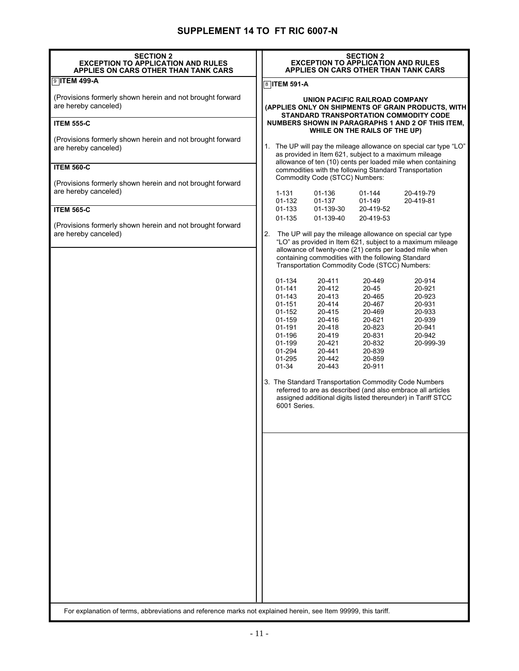| <b>SECTION 2</b><br><b>EXCEPTION TO APPLICATION AND RULES</b><br>APPLIES ON CARS OTHER THAN TANK CARS          | <b>SECTION 2</b><br><b>EXCEPTION TO APPLICATION AND RULES</b><br>APPLIES ON CARS OTHER THAN TANK CARS                                                                                                                                                                                                                                                                                                                                                                                                                                                                                                                                                                                           |  |  |
|----------------------------------------------------------------------------------------------------------------|-------------------------------------------------------------------------------------------------------------------------------------------------------------------------------------------------------------------------------------------------------------------------------------------------------------------------------------------------------------------------------------------------------------------------------------------------------------------------------------------------------------------------------------------------------------------------------------------------------------------------------------------------------------------------------------------------|--|--|
| णि । TEM 499-A                                                                                                 | $\sqrt{8}$ ITEM 591-A                                                                                                                                                                                                                                                                                                                                                                                                                                                                                                                                                                                                                                                                           |  |  |
| (Provisions formerly shown herein and not brought forward<br>are hereby canceled)                              | UNION PACIFIC RAILROAD COMPANY<br>(APPLIES ONLY ON SHIPMENTS OF GRAIN PRODUCTS, WITH<br>STANDARD TRANSPORTATION COMMODITY CODE                                                                                                                                                                                                                                                                                                                                                                                                                                                                                                                                                                  |  |  |
| <b>ITEM 555-C</b>                                                                                              | NUMBERS SHOWN IN PARAGRAPHS 1 AND 2 OF THIS ITEM.<br>WHILE ON THE RAILS OF THE UP)                                                                                                                                                                                                                                                                                                                                                                                                                                                                                                                                                                                                              |  |  |
| (Provisions formerly shown herein and not brought forward<br>are hereby canceled)<br><b>ITEM 560-C</b>         | 1. The UP will pay the mileage allowance on special car type "LO"<br>as provided in Item 621, subject to a maximum mileage<br>allowance of ten (10) cents per loaded mile when containing<br>commodities with the following Standard Transportation<br>Commodity Code (STCC) Numbers:                                                                                                                                                                                                                                                                                                                                                                                                           |  |  |
| (Provisions formerly shown herein and not brought forward<br>are hereby canceled)                              | 01-136<br>$1 - 131$<br>$01 - 144$<br>20-419-79<br>20-419-81<br>01-132<br>01-137<br>$01 - 149$                                                                                                                                                                                                                                                                                                                                                                                                                                                                                                                                                                                                   |  |  |
| <b>ITEM 565-C</b>                                                                                              | 01-133<br>01-139-30<br>20-419-52<br>01-135<br>01-139-40<br>20-419-53                                                                                                                                                                                                                                                                                                                                                                                                                                                                                                                                                                                                                            |  |  |
| (Provisions formerly shown herein and not brought forward<br>are hereby canceled)                              | The UP will pay the mileage allowance on special car type<br>2.<br>"LO" as provided in Item 621, subject to a maximum mileage<br>allowance of twenty-one (21) cents per loaded mile when<br>containing commodities with the following Standard<br>Transportation Commodity Code (STCC) Numbers:                                                                                                                                                                                                                                                                                                                                                                                                 |  |  |
|                                                                                                                | 01-134<br>20-411<br>20-914<br>20-449<br>$01 - 141$<br>20-412<br>$20 - 45$<br>20-921<br>$01 - 143$<br>20-413<br>20-465<br>20-923<br>$01 - 151$<br>20-414<br>20-467<br>20-931<br>$01 - 152$<br>20-415<br>20-469<br>20-933<br>01-159<br>20-416<br>20-621<br>20-939<br>20-941<br>01-191<br>20-418<br>20-823<br>01-196<br>20-419<br>20-831<br>20-942<br>01-199<br>20-421<br>20-832<br>20-999-39<br>01-294<br>20-839<br>20-441<br>01-295<br>20-859<br>20-442<br>$01 - 34$<br>20-911<br>20-443<br>3. The Standard Transportation Commodity Code Numbers<br>referred to are as described (and also embrace all articles<br>assigned additional digits listed thereunder) in Tariff STCC<br>6001 Series. |  |  |
|                                                                                                                |                                                                                                                                                                                                                                                                                                                                                                                                                                                                                                                                                                                                                                                                                                 |  |  |
| For explanation of terms, abbreviations and reference marks not explained herein, see Item 99999, this tariff. |                                                                                                                                                                                                                                                                                                                                                                                                                                                                                                                                                                                                                                                                                                 |  |  |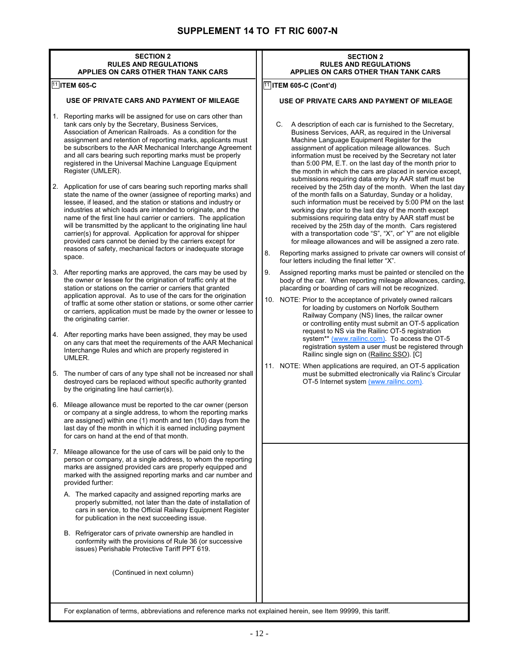| <b>RULES AND REGULATIONS</b><br><b>RULES AND REGULATIONS</b><br>APPLIES ON CARS OTHER THAN TANK CARS<br><b>APPLIES ON CARS OTHER THAN TANK CARS</b><br>$11$  ITEM 605-C<br>$11$ ITEM 605-C (Cont'd)<br>USE OF PRIVATE CARS AND PAYMENT OF MILEAGE<br>USE OF PRIVATE CARS AND PAYMENT OF MILEAGE<br>Reporting marks will be assigned for use on cars other than<br>1.<br>tank cars only by the Secretary, Business Services,<br>A description of each car is furnished to the Secretary,<br>C.<br>Association of American Railroads. As a condition for the<br>Business Services, AAR, as required in the Universal                                                                                                                                                                                                                                                                                                                                                                                                                                                                                                                                                                                                                                                                                                                                                                                                                                                                                                                                                                                                                                                                                                                                                                                                                                                     |  |
|------------------------------------------------------------------------------------------------------------------------------------------------------------------------------------------------------------------------------------------------------------------------------------------------------------------------------------------------------------------------------------------------------------------------------------------------------------------------------------------------------------------------------------------------------------------------------------------------------------------------------------------------------------------------------------------------------------------------------------------------------------------------------------------------------------------------------------------------------------------------------------------------------------------------------------------------------------------------------------------------------------------------------------------------------------------------------------------------------------------------------------------------------------------------------------------------------------------------------------------------------------------------------------------------------------------------------------------------------------------------------------------------------------------------------------------------------------------------------------------------------------------------------------------------------------------------------------------------------------------------------------------------------------------------------------------------------------------------------------------------------------------------------------------------------------------------------------------------------------------------|--|
|                                                                                                                                                                                                                                                                                                                                                                                                                                                                                                                                                                                                                                                                                                                                                                                                                                                                                                                                                                                                                                                                                                                                                                                                                                                                                                                                                                                                                                                                                                                                                                                                                                                                                                                                                                                                                                                                        |  |
|                                                                                                                                                                                                                                                                                                                                                                                                                                                                                                                                                                                                                                                                                                                                                                                                                                                                                                                                                                                                                                                                                                                                                                                                                                                                                                                                                                                                                                                                                                                                                                                                                                                                                                                                                                                                                                                                        |  |
|                                                                                                                                                                                                                                                                                                                                                                                                                                                                                                                                                                                                                                                                                                                                                                                                                                                                                                                                                                                                                                                                                                                                                                                                                                                                                                                                                                                                                                                                                                                                                                                                                                                                                                                                                                                                                                                                        |  |
| assignment and retention of reporting marks, applicants must<br>Machine Language Equipment Register for the<br>be subscribers to the AAR Mechanical Interchange Agreement<br>assignment of application mileage allowances. Such<br>and all cars bearing such reporting marks must be properly<br>information must be received by the Secretary not later<br>registered in the Universal Machine Language Equipment<br>than 5:00 PM, E.T. on the last day of the month prior to<br>Register (UMLER).<br>the month in which the cars are placed in service except,<br>submissions requiring data entry by AAR staff must be<br>2.<br>Application for use of cars bearing such reporting marks shall<br>received by the 25th day of the month. When the last day<br>state the name of the owner (assignee of reporting marks) and<br>of the month falls on a Saturday, Sunday or a holiday,<br>lessee, if leased, and the station or stations and industry or<br>such information must be received by 5:00 PM on the last<br>working day prior to the last day of the month except<br>industries at which loads are intended to originate, and the<br>name of the first line haul carrier or carriers. The application<br>submissions requiring data entry by AAR staff must be<br>received by the 25th day of the month. Cars registered<br>will be transmitted by the applicant to the originating line haul<br>carrier(s) for approval. Application for approval for shipper<br>with a transportation code "S", "X", or" Y" are not eligible<br>provided cars cannot be denied by the carriers except for<br>for mileage allowances and will be assigned a zero rate.<br>reasons of safety, mechanical factors or inadequate storage<br>8.<br>Reporting marks assigned to private car owners will consist of<br>space.<br>four letters including the final letter "X". |  |
| After reporting marks are approved, the cars may be used by<br>9.<br>Assigned reporting marks must be painted or stenciled on the<br>3.<br>the owner or lessee for the origination of traffic only at the<br>body of the car. When reporting mileage allowances, carding,<br>station or stations on the carrier or carriers that granted<br>placarding or boarding of cars will not be recognized.<br>application approval. As to use of the cars for the origination<br>10. NOTE: Prior to the acceptance of privately owned railcars<br>of traffic at some other station or stations, or some other carrier<br>for loading by customers on Norfolk Southern<br>or carriers, application must be made by the owner or lessee to<br>Railway Company (NS) lines, the railcar owner<br>the originating carrier.<br>or controlling entity must submit an OT-5 application<br>request to NS via the Railinc OT-5 registration<br>After reporting marks have been assigned, they may be used<br>4.<br>system** (www.railinc.com). To access the OT-5<br>on any cars that meet the requirements of the AAR Mechanical<br>registration system a user must be registered through                                                                                                                                                                                                                                                                                                                                                                                                                                                                                                                                                                                                                                                                                               |  |
| Interchange Rules and which are properly registered in<br>Railinc single sign on (Railinc SSO). [C]<br>UMLER.<br>11. NOTE: When applications are required, an OT-5 application<br>The number of cars of any type shall not be increased nor shall<br>must be submitted electronically via Ralinc's Circular<br>5.<br>destroyed cars be replaced without specific authority granted<br>OT-5 Internet system (www.railinc.com).<br>by the originating line haul carrier(s).                                                                                                                                                                                                                                                                                                                                                                                                                                                                                                                                                                                                                                                                                                                                                                                                                                                                                                                                                                                                                                                                                                                                                                                                                                                                                                                                                                                              |  |
| Mileage allowance must be reported to the car owner (person<br>6.<br>or company at a single address, to whom the reporting marks<br>are assigned) within one (1) month and ten (10) days from the<br>last day of the month in which it is earned including payment<br>for cars on hand at the end of that month.                                                                                                                                                                                                                                                                                                                                                                                                                                                                                                                                                                                                                                                                                                                                                                                                                                                                                                                                                                                                                                                                                                                                                                                                                                                                                                                                                                                                                                                                                                                                                       |  |
| 7.<br>Mileage allowance for the use of cars will be paid only to the<br>person or company, at a single address, to whom the reporting<br>marks are assigned provided cars are properly equipped and<br>marked with the assigned reporting marks and car number and<br>provided further:                                                                                                                                                                                                                                                                                                                                                                                                                                                                                                                                                                                                                                                                                                                                                                                                                                                                                                                                                                                                                                                                                                                                                                                                                                                                                                                                                                                                                                                                                                                                                                                |  |
| A. The marked capacity and assigned reporting marks are<br>properly submitted, not later than the date of installation of<br>cars in service, to the Official Railway Equipment Register<br>for publication in the next succeeding issue.                                                                                                                                                                                                                                                                                                                                                                                                                                                                                                                                                                                                                                                                                                                                                                                                                                                                                                                                                                                                                                                                                                                                                                                                                                                                                                                                                                                                                                                                                                                                                                                                                              |  |
| B. Refrigerator cars of private ownership are handled in<br>conformity with the provisions of Rule 36 (or successive<br>issues) Perishable Protective Tariff PPT 619.                                                                                                                                                                                                                                                                                                                                                                                                                                                                                                                                                                                                                                                                                                                                                                                                                                                                                                                                                                                                                                                                                                                                                                                                                                                                                                                                                                                                                                                                                                                                                                                                                                                                                                  |  |
| (Continued in next column)                                                                                                                                                                                                                                                                                                                                                                                                                                                                                                                                                                                                                                                                                                                                                                                                                                                                                                                                                                                                                                                                                                                                                                                                                                                                                                                                                                                                                                                                                                                                                                                                                                                                                                                                                                                                                                             |  |